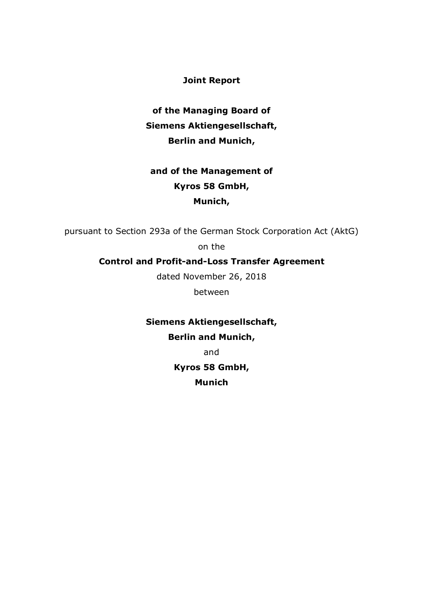**Joint Report**

**of the Managing Board of Siemens Aktiengesellschaft, Berlin and Munich,**

# **and of the Management of Kyros 58 GmbH, Munich,**

pursuant to Section 293a of the German Stock Corporation Act (AktG)

on the

# **Control and Profit-and-Loss Transfer Agreement**

dated November 26, 2018

between

**Siemens Aktiengesellschaft, Berlin and Munich,**

and

**Kyros 58 GmbH, Munich**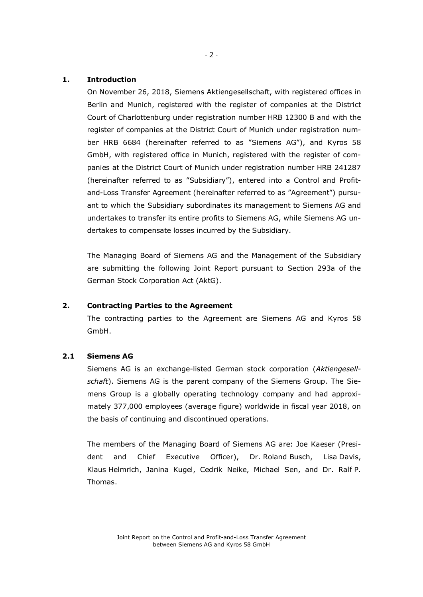### **1. Introduction**

On November 26, 2018, Siemens Aktiengesellschaft, with registered offices in Berlin and Munich, registered with the register of companies at the District Court of Charlottenburg under registration number HRB 12300 B and with the register of companies at the District Court of Munich under registration number HRB 6684 (hereinafter referred to as "Siemens AG"), and Kyros 58 GmbH, with registered office in Munich, registered with the register of companies at the District Court of Munich under registration number HRB 241287 (hereinafter referred to as "Subsidiary"), entered into a Control and Profitand-Loss Transfer Agreement (hereinafter referred to as "Agreement") pursuant to which the Subsidiary subordinates its management to Siemens AG and undertakes to transfer its entire profits to Siemens AG, while Siemens AG undertakes to compensate losses incurred by the Subsidiary.

The Managing Board of Siemens AG and the Management of the Subsidiary are submitting the following Joint Report pursuant to Section 293a of the German Stock Corporation Act (AktG).

## **2. Contracting Parties to the Agreement**

The contracting parties to the Agreement are Siemens AG and Kyros 58 GmbH.

# **2.1 Siemens AG**

Siemens AG is an exchange-listed German stock corporation (*Aktiengesellschaft*). Siemens AG is the parent company of the Siemens Group. The Siemens Group is a globally operating technology company and had approximately 377,000 employees (average figure) worldwide in fiscal year 2018, on the basis of continuing and discontinued operations.

The members of the Managing Board of Siemens AG are: Joe Kaeser (President and Chief Executive Officer), Dr. Roland Busch, Lisa Davis, Klaus Helmrich, Janina Kugel, Cedrik Neike, Michael Sen, and Dr. Ralf P. Thomas.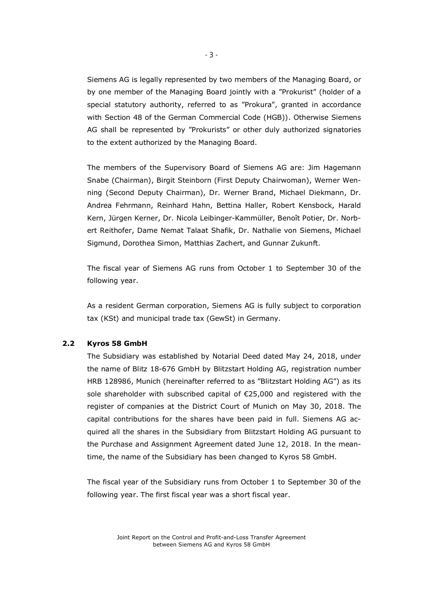Siemens AG is legally represented by two members of the Managing Board, or by one member of the Managing Board jointly with a "Prokurist" (holder of a special statutory authority, referred to as "Prokura", granted in accordance with Section 48 of the German Commercial Code (HGB)). Otherwise Siemens AG shall be represented by "Prokurists" or other duly authorized signatories to the extent authorized by the Managing Board.

The members of the Supervisory Board of Siemens AG are: Jim Hagemann Snabe (Chairman), Birgit Steinborn (First Deputy Chairwoman), Werner Wenning (Second Deputy Chairman), Dr. Werner Brand, Michael Diekmann, Dr. Andrea Fehrmann, Reinhard Hahn, Bettina Haller, Robert Kensbock, Harald Kern, Jürgen Kerner, Dr. Nicola Leibinger-Kammüller, Benoît Potier, Dr. Norbert Reithofer, Dame Nemat Talaat Shafik, Dr. Nathalie von Siemens, Michael Sigmund, Dorothea Simon, Matthias Zachert, and Gunnar Zukunft.

The fiscal year of Siemens AG runs from October 1 to September 30 of the following year.

As a resident German corporation, Siemens AG is fully subject to corporation tax (KSt) and municipal trade tax (GewSt) in Germany.

#### **2.2 Kyros 58 GmbH**

The Subsidiary was established by Notarial Deed dated May 24, 2018, under the name of Blitz 18-676 GmbH by Blitzstart Holding AG, registration number HRB 128986, Munich (hereinafter referred to as "Blitzstart Holding AG") as its sole shareholder with subscribed capital of €25,000 and registered with the register of companies at the District Court of Munich on May 30, 2018. The capital contributions for the shares have been paid in full. Siemens AG acquired all the shares in the Subsidiary from Blitzstart Holding AG pursuant to the Purchase and Assignment Agreement dated June 12, 2018. In the meantime, the name of the Subsidiary has been changed to Kyros 58 GmbH.

The fiscal year of the Subsidiary runs from October 1 to September 30 of the following year. The first fiscal year was a short fiscal year.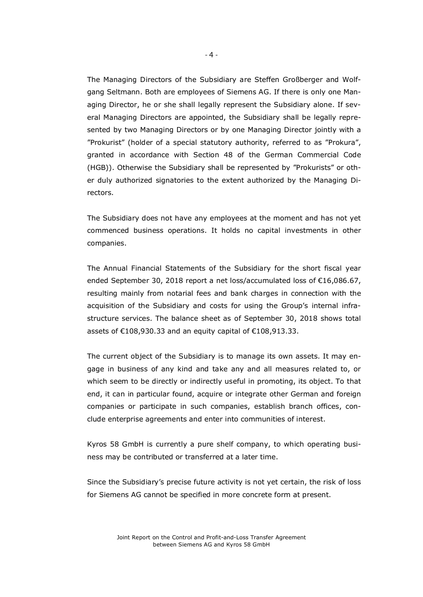The Managing Directors of the Subsidiary are Steffen Großberger and Wolfgang Seltmann. Both are employees of Siemens AG. If there is only one Managing Director, he or she shall legally represent the Subsidiary alone. If several Managing Directors are appointed, the Subsidiary shall be legally represented by two Managing Directors or by one Managing Director jointly with a "Prokurist" (holder of a special statutory authority, referred to as "Prokura", granted in accordance with Section 48 of the German Commercial Code (HGB)). Otherwise the Subsidiary shall be represented by "Prokurists" or other duly authorized signatories to the extent authorized by the Managing Directors.

The Subsidiary does not have any employees at the moment and has not yet commenced business operations. It holds no capital investments in other companies.

The Annual Financial Statements of the Subsidiary for the short fiscal year ended September 30, 2018 report a net loss/accumulated loss of €16,086.67, resulting mainly from notarial fees and bank charges in connection with the acquisition of the Subsidiary and costs for using the Group's internal infrastructure services. The balance sheet as of September 30, 2018 shows total assets of €108,930.33 and an equity capital of €108,913.33.

The current object of the Subsidiary is to manage its own assets. It may engage in business of any kind and take any and all measures related to, or which seem to be directly or indirectly useful in promoting, its object. To that end, it can in particular found, acquire or integrate other German and foreign companies or participate in such companies, establish branch offices, conclude enterprise agreements and enter into communities of interest.

Kyros 58 GmbH is currently a pure shelf company, to which operating business may be contributed or transferred at a later time.

Since the Subsidiary's precise future activity is not yet certain, the risk of loss for Siemens AG cannot be specified in more concrete form at present.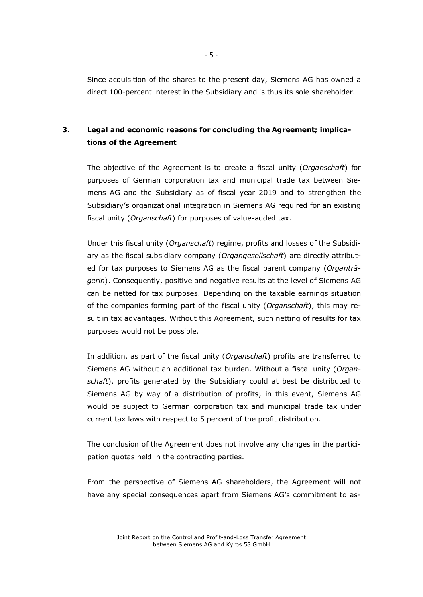Since acquisition of the shares to the present day, Siemens AG has owned a direct 100-percent interest in the Subsidiary and is thus its sole shareholder.

# **3. Legal and economic reasons for concluding the Agreement; implications of the Agreement**

The objective of the Agreement is to create a fiscal unity (*Organschaft*) for purposes of German corporation tax and municipal trade tax between Siemens AG and the Subsidiary as of fiscal year 2019 and to strengthen the Subsidiary's organizational integration in Siemens AG required for an existing fiscal unity (*Organschaft*) for purposes of value-added tax.

Under this fiscal unity (*Organschaft*) regime, profits and losses of the Subsidiary as the fiscal subsidiary company (*Organgesellschaft*) are directly attributed for tax purposes to Siemens AG as the fiscal parent company (*Organträgerin*). Consequently, positive and negative results at the level of Siemens AG can be netted for tax purposes. Depending on the taxable earnings situation of the companies forming part of the fiscal unity (*Organschaft*), this may result in tax advantages. Without this Agreement, such netting of results for tax purposes would not be possible.

In addition, as part of the fiscal unity (*Organschaft*) profits are transferred to Siemens AG without an additional tax burden. Without a fiscal unity (*Organschaft*), profits generated by the Subsidiary could at best be distributed to Siemens AG by way of a distribution of profits; in this event, Siemens AG would be subject to German corporation tax and municipal trade tax under current tax laws with respect to 5 percent of the profit distribution.

The conclusion of the Agreement does not involve any changes in the participation quotas held in the contracting parties.

From the perspective of Siemens AG shareholders, the Agreement will not have any special consequences apart from Siemens AG's commitment to as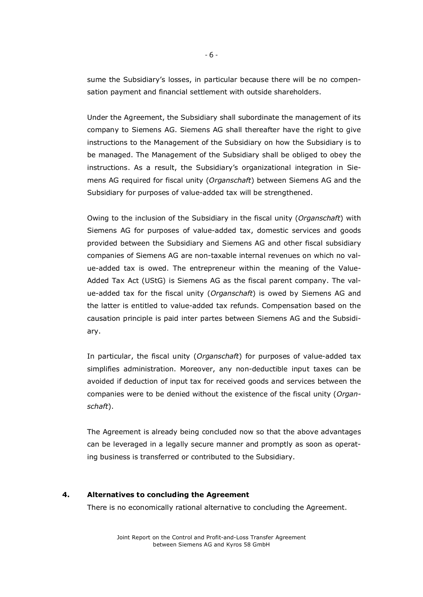sume the Subsidiary's losses, in particular because there will be no compensation payment and financial settlement with outside shareholders.

Under the Agreement, the Subsidiary shall subordinate the management of its company to Siemens AG. Siemens AG shall thereafter have the right to give instructions to the Management of the Subsidiary on how the Subsidiary is to be managed. The Management of the Subsidiary shall be obliged to obey the instructions. As a result, the Subsidiary's organizational integration in Siemens AG required for fiscal unity (*Organschaft*) between Siemens AG and the Subsidiary for purposes of value-added tax will be strengthened.

Owing to the inclusion of the Subsidiary in the fiscal unity (*Organschaft*) with Siemens AG for purposes of value-added tax, domestic services and goods provided between the Subsidiary and Siemens AG and other fiscal subsidiary companies of Siemens AG are non-taxable internal revenues on which no value-added tax is owed. The entrepreneur within the meaning of the Value-Added Tax Act (UStG) is Siemens AG as the fiscal parent company. The value-added tax for the fiscal unity (*Organschaft*) is owed by Siemens AG and the latter is entitled to value-added tax refunds. Compensation based on the causation principle is paid inter partes between Siemens AG and the Subsidiary.

In particular, the fiscal unity (*Organschaft*) for purposes of value-added tax simplifies administration. Moreover, any non-deductible input taxes can be avoided if deduction of input tax for received goods and services between the companies were to be denied without the existence of the fiscal unity (*Organschaft*).

The Agreement is already being concluded now so that the above advantages can be leveraged in a legally secure manner and promptly as soon as operating business is transferred or contributed to the Subsidiary.

### **4. Alternatives to concluding the Agreement**

There is no economically rational alternative to concluding the Agreement.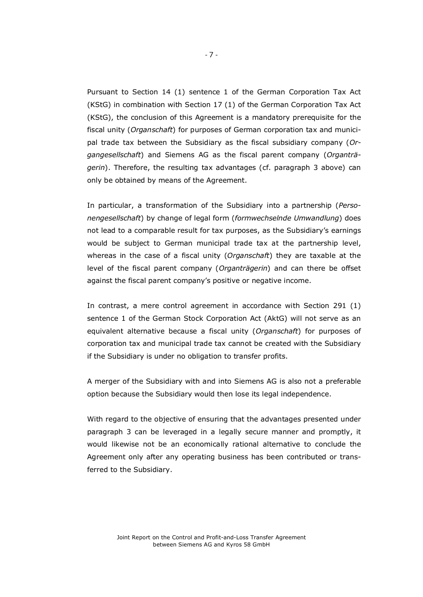Pursuant to Section 14 (1) sentence 1 of the German Corporation Tax Act (KStG) in combination with Section 17 (1) of the German Corporation Tax Act (KStG), the conclusion of this Agreement is a mandatory prerequisite for the fiscal unity (*Organschaft*) for purposes of German corporation tax and municipal trade tax between the Subsidiary as the fiscal subsidiary company (*Organgesellschaft*) and Siemens AG as the fiscal parent company (*Organträgerin*). Therefore, the resulting tax advantages (cf. paragraph 3 above) can only be obtained by means of the Agreement.

In particular, a transformation of the Subsidiary into a partnership (*Personengesellschaft*) by change of legal form (*formwechselnde Umwandlung*) does not lead to a comparable result for tax purposes, as the Subsidiary's earnings would be subject to German municipal trade tax at the partnership level, whereas in the case of a fiscal unity (*Organschaft*) they are taxable at the level of the fiscal parent company (*Organträgerin*) and can there be offset against the fiscal parent company's positive or negative income.

In contrast, a mere control agreement in accordance with Section 291 (1) sentence 1 of the German Stock Corporation Act (AktG) will not serve as an equivalent alternative because a fiscal unity (*Organschaft*) for purposes of corporation tax and municipal trade tax cannot be created with the Subsidiary if the Subsidiary is under no obligation to transfer profits.

A merger of the Subsidiary with and into Siemens AG is also not a preferable option because the Subsidiary would then lose its legal independence.

With regard to the objective of ensuring that the advantages presented under paragraph 3 can be leveraged in a legally secure manner and promptly, it would likewise not be an economically rational alternative to conclude the Agreement only after any operating business has been contributed or transferred to the Subsidiary.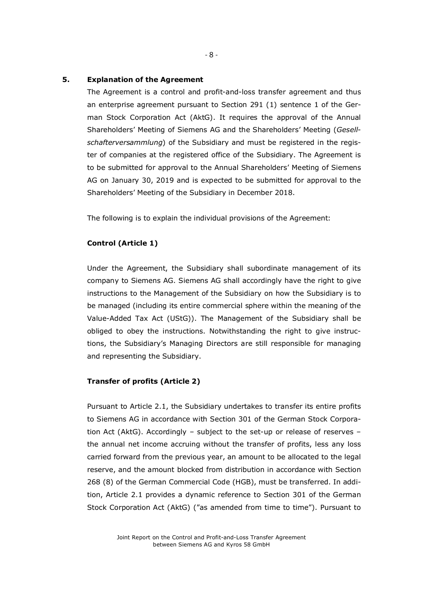#### **5. Explanation of the Agreement**

The Agreement is a control and profit-and-loss transfer agreement and thus an enterprise agreement pursuant to Section 291 (1) sentence 1 of the German Stock Corporation Act (AktG). It requires the approval of the Annual Shareholders' Meeting of Siemens AG and the Shareholders' Meeting (*Gesellschafterversammlung*) of the Subsidiary and must be registered in the register of companies at the registered office of the Subsidiary. The Agreement is to be submitted for approval to the Annual Shareholders' Meeting of Siemens AG on January 30, 2019 and is expected to be submitted for approval to the Shareholders' Meeting of the Subsidiary in December 2018.

The following is to explain the individual provisions of the Agreement:

#### **Control (Article 1)**

Under the Agreement, the Subsidiary shall subordinate management of its company to Siemens AG. Siemens AG shall accordingly have the right to give instructions to the Management of the Subsidiary on how the Subsidiary is to be managed (including its entire commercial sphere within the meaning of the Value-Added Tax Act (UStG)). The Management of the Subsidiary shall be obliged to obey the instructions. Notwithstanding the right to give instructions, the Subsidiary's Managing Directors are still responsible for managing and representing the Subsidiary.

#### **Transfer of profits (Article 2)**

Pursuant to Article 2.1, the Subsidiary undertakes to transfer its entire profits to Siemens AG in accordance with Section 301 of the German Stock Corporation Act (AktG). Accordingly – subject to the set-up or release of reserves – the annual net income accruing without the transfer of profits, less any loss carried forward from the previous year, an amount to be allocated to the legal reserve, and the amount blocked from distribution in accordance with Section 268 (8) of the German Commercial Code (HGB), must be transferred. In addition, Article 2.1 provides a dynamic reference to Section 301 of the German Stock Corporation Act (AktG) ("as amended from time to time"). Pursuant to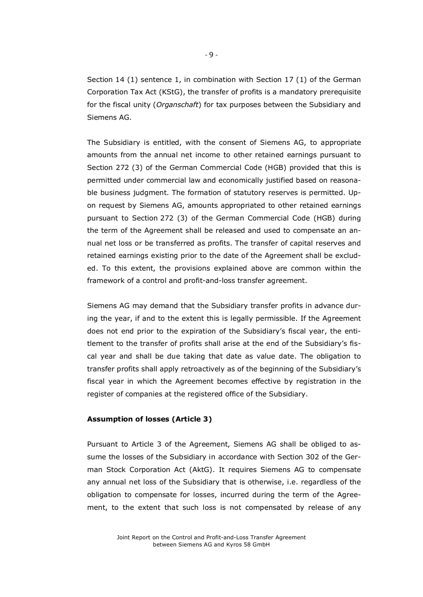Section 14 (1) sentence 1, in combination with Section 17 (1) of the German Corporation Tax Act (KStG), the transfer of profits is a mandatory prerequisite for the fiscal unity (*Organschaft*) for tax purposes between the Subsidiary and Siemens AG.

The Subsidiary is entitled, with the consent of Siemens AG, to appropriate amounts from the annual net income to other retained earnings pursuant to Section 272 (3) of the German Commercial Code (HGB) provided that this is permitted under commercial law and economically justified based on reasonable business judgment. The formation of statutory reserves is permitted. Upon request by Siemens AG, amounts appropriated to other retained earnings pursuant to Section 272 (3) of the German Commercial Code (HGB) during the term of the Agreement shall be released and used to compensate an annual net loss or be transferred as profits. The transfer of capital reserves and retained earnings existing prior to the date of the Agreement shall be excluded. To this extent, the provisions explained above are common within the framework of a control and profit-and-loss transfer agreement.

Siemens AG may demand that the Subsidiary transfer profits in advance during the year, if and to the extent this is legally permissible. If the Agreement does not end prior to the expiration of the Subsidiary's fiscal year, the entitlement to the transfer of profits shall arise at the end of the Subsidiary's fiscal year and shall be due taking that date as value date. The obligation to transfer profits shall apply retroactively as of the beginning of the Subsidiary's fiscal year in which the Agreement becomes effective by registration in the register of companies at the registered office of the Subsidiary.

#### **Assumption of losses (Article 3)**

Pursuant to Article 3 of the Agreement, Siemens AG shall be obliged to assume the losses of the Subsidiary in accordance with Section 302 of the German Stock Corporation Act (AktG). It requires Siemens AG to compensate any annual net loss of the Subsidiary that is otherwise, i.e. regardless of the obligation to compensate for losses, incurred during the term of the Agreement, to the extent that such loss is not compensated by release of any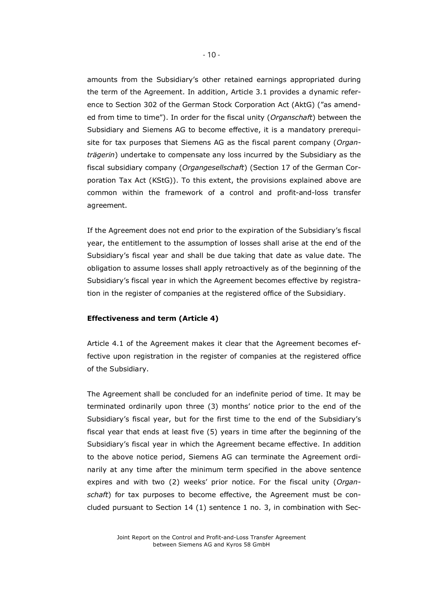amounts from the Subsidiary's other retained earnings appropriated during the term of the Agreement. In addition, Article 3.1 provides a dynamic reference to Section 302 of the German Stock Corporation Act (AktG) ("as amended from time to time"). In order for the fiscal unity (*Organschaft*) between the Subsidiary and Siemens AG to become effective, it is a mandatory prerequisite for tax purposes that Siemens AG as the fiscal parent company (*Organträgerin*) undertake to compensate any loss incurred by the Subsidiary as the fiscal subsidiary company (*Organgesellschaft*) (Section 17 of the German Corporation Tax Act (KStG)). To this extent, the provisions explained above are common within the framework of a control and profit-and-loss transfer agreement.

If the Agreement does not end prior to the expiration of the Subsidiary's fiscal year, the entitlement to the assumption of losses shall arise at the end of the Subsidiary's fiscal year and shall be due taking that date as value date. The obligation to assume losses shall apply retroactively as of the beginning of the Subsidiary's fiscal year in which the Agreement becomes effective by registration in the register of companies at the registered office of the Subsidiary.

#### **Effectiveness and term (Article 4)**

Article 4.1 of the Agreement makes it clear that the Agreement becomes effective upon registration in the register of companies at the registered office of the Subsidiary.

The Agreement shall be concluded for an indefinite period of time. It may be terminated ordinarily upon three (3) months' notice prior to the end of the Subsidiary's fiscal year, but for the first time to the end of the Subsidiary's fiscal year that ends at least five (5) years in time after the beginning of the Subsidiary's fiscal year in which the Agreement became effective. In addition to the above notice period, Siemens AG can terminate the Agreement ordinarily at any time after the minimum term specified in the above sentence expires and with two (2) weeks' prior notice. For the fiscal unity (*Organschaft*) for tax purposes to become effective, the Agreement must be concluded pursuant to Section 14 (1) sentence 1 no. 3, in combination with Sec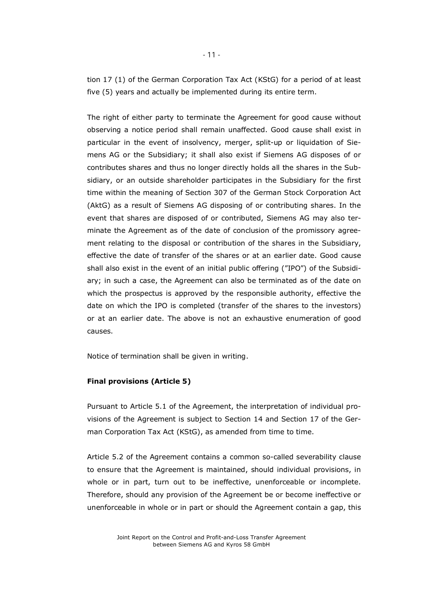tion 17 (1) of the German Corporation Tax Act (KStG) for a period of at least five (5) years and actually be implemented during its entire term.

The right of either party to terminate the Agreement for good cause without observing a notice period shall remain unaffected. Good cause shall exist in particular in the event of insolvency, merger, split-up or liquidation of Siemens AG or the Subsidiary; it shall also exist if Siemens AG disposes of or contributes shares and thus no longer directly holds all the shares in the Subsidiary, or an outside shareholder participates in the Subsidiary for the first time within the meaning of Section 307 of the German Stock Corporation Act (AktG) as a result of Siemens AG disposing of or contributing shares. In the event that shares are disposed of or contributed, Siemens AG may also terminate the Agreement as of the date of conclusion of the promissory agreement relating to the disposal or contribution of the shares in the Subsidiary, effective the date of transfer of the shares or at an earlier date. Good cause shall also exist in the event of an initial public offering ("IPO") of the Subsidiary; in such a case, the Agreement can also be terminated as of the date on which the prospectus is approved by the responsible authority, effective the date on which the IPO is completed (transfer of the shares to the investors) or at an earlier date. The above is not an exhaustive enumeration of good causes.

Notice of termination shall be given in writing.

#### **Final provisions (Article 5)**

Pursuant to Article 5.1 of the Agreement, the interpretation of individual provisions of the Agreement is subject to Section 14 and Section 17 of the German Corporation Tax Act (KStG), as amended from time to time.

Article 5.2 of the Agreement contains a common so-called severability clause to ensure that the Agreement is maintained, should individual provisions, in whole or in part, turn out to be ineffective, unenforceable or incomplete. Therefore, should any provision of the Agreement be or become ineffective or unenforceable in whole or in part or should the Agreement contain a gap, this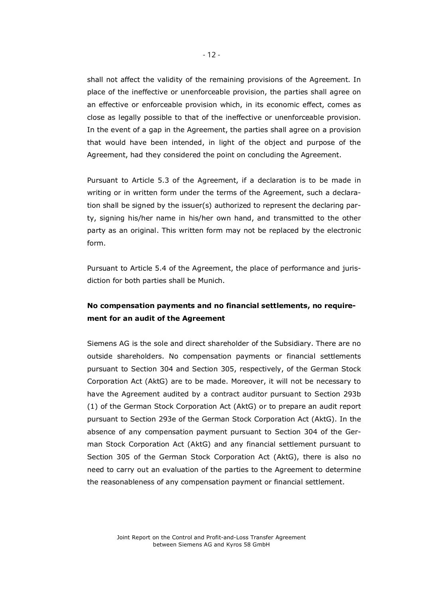shall not affect the validity of the remaining provisions of the Agreement. In place of the ineffective or unenforceable provision, the parties shall agree on an effective or enforceable provision which, in its economic effect, comes as close as legally possible to that of the ineffective or unenforceable provision. In the event of a gap in the Agreement, the parties shall agree on a provision that would have been intended, in light of the object and purpose of the Agreement, had they considered the point on concluding the Agreement.

Pursuant to Article 5.3 of the Agreement, if a declaration is to be made in writing or in written form under the terms of the Agreement, such a declaration shall be signed by the issuer(s) authorized to represent the declaring party, signing his/her name in his/her own hand, and transmitted to the other party as an original. This written form may not be replaced by the electronic form.

Pursuant to Article 5.4 of the Agreement, the place of performance and jurisdiction for both parties shall be Munich.

# **No compensation payments and no financial settlements, no requirement for an audit of the Agreement**

Siemens AG is the sole and direct shareholder of the Subsidiary. There are no outside shareholders. No compensation payments or financial settlements pursuant to Section 304 and Section 305, respectively, of the German Stock Corporation Act (AktG) are to be made. Moreover, it will not be necessary to have the Agreement audited by a contract auditor pursuant to Section 293b (1) of the German Stock Corporation Act (AktG) or to prepare an audit report pursuant to Section 293e of the German Stock Corporation Act (AktG). In the absence of any compensation payment pursuant to Section 304 of the German Stock Corporation Act (AktG) and any financial settlement pursuant to Section 305 of the German Stock Corporation Act (AktG), there is also no need to carry out an evaluation of the parties to the Agreement to determine the reasonableness of any compensation payment or financial settlement.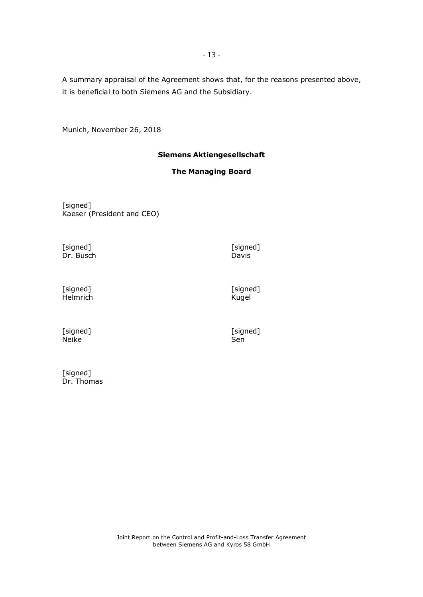A summary appraisal of the Agreement shows that, for the reasons presented above, it is beneficial to both Siemens AG and the Subsidiary.

Munich, November 26, 2018

# **Siemens Aktiengesellschaft**

## **The Managing Board**

[signed] Kaeser (President and CEO)

[signed] [signed] Dr. Busch

Davis

[signed] Helmrich [signed] Kugel

[signed] Neike

[signed]<br>Sen

[signed] Dr. Thomas